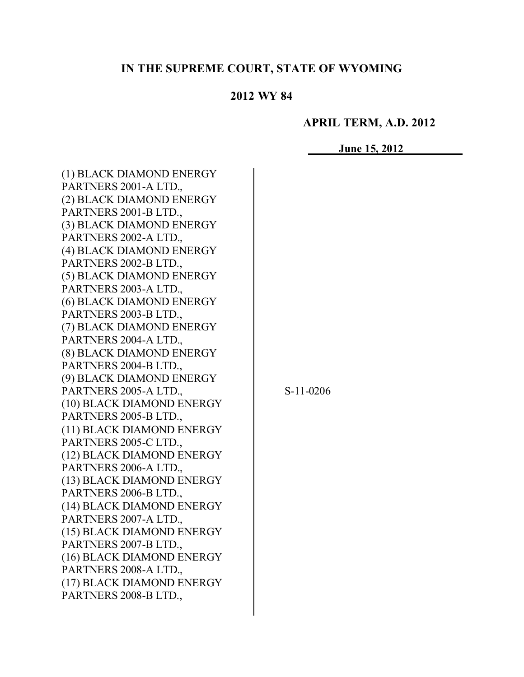# **IN THE SUPREME COURT, STATE OF WYOMING**

## **2012 WY 84**

## **APRIL TERM, A.D. 2012**

**June 15, 2012**

| (1) BLACK DIAMOND ENERGY  |  |
|---------------------------|--|
| PARTNERS 2001-A LTD.,     |  |
| (2) BLACK DIAMOND ENERGY  |  |
| PARTNERS 2001-B LTD.,     |  |
| (3) BLACK DIAMOND ENERGY  |  |
| PARTNERS 2002-A LTD.,     |  |
| (4) BLACK DIAMOND ENERGY  |  |
| PARTNERS 2002-B LTD.,     |  |
| (5) BLACK DIAMOND ENERGY  |  |
| PARTNERS 2003-A LTD.,     |  |
| (6) BLACK DIAMOND ENERGY  |  |
| PARTNERS 2003-B LTD.,     |  |
| (7) BLACK DIAMOND ENERGY  |  |
| PARTNERS 2004-A LTD.,     |  |
| (8) BLACK DIAMOND ENERGY  |  |
| PARTNERS 2004-B LTD.,     |  |
| (9) BLACK DIAMOND ENERGY  |  |
| PARTNERS 2005-A LTD.,     |  |
| (10) BLACK DIAMOND ENERGY |  |
| PARTNERS 2005-B LTD.,     |  |
| (11) BLACK DIAMOND ENERGY |  |
| PARTNERS 2005-C LTD.,     |  |
| (12) BLACK DIAMOND ENERGY |  |
| PARTNERS 2006-A LTD.,     |  |
| (13) BLACK DIAMOND ENERGY |  |
| PARTNERS 2006-B LTD.,     |  |
| (14) BLACK DIAMOND ENERGY |  |
| PARTNERS 2007-A LTD.,     |  |
| (15) BLACK DIAMOND ENERGY |  |
| PARTNERS 2007-B LTD       |  |
| (16) BLACK DIAMOND ENERGY |  |
| PARTNERS 2008-A LTD.,     |  |
| (17) BLACK DIAMOND ENERGY |  |
| PARTNERS 2008-B LTD.,     |  |
|                           |  |

S-11-0206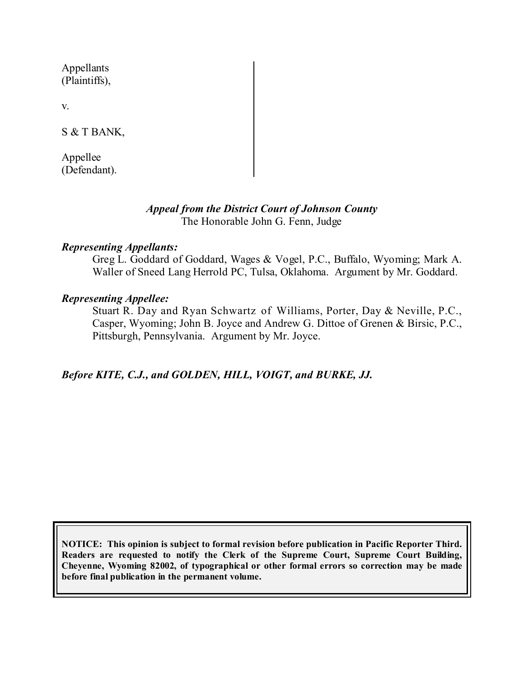Appellants (Plaintiffs),

v.

S & T BANK,

Appellee (Defendant).

#### *Appeal from the District Court of Johnson County* The Honorable John G. Fenn, Judge

## *Representing Appellants:*

Greg L. Goddard of Goddard, Wages & Vogel, P.C., Buffalo, Wyoming; Mark A. Waller of Sneed Lang Herrold PC, Tulsa, Oklahoma. Argument by Mr. Goddard.

## *Representing Appellee:*

Stuart R. Day and Ryan Schwartz of Williams, Porter, Day & Neville, P.C., Casper, Wyoming; John B. Joyce and Andrew G. Dittoe of Grenen & Birsic, P.C., Pittsburgh, Pennsylvania. Argument by Mr. Joyce.

*Before KITE, C.J., and GOLDEN, HILL, VOIGT, and BURKE, JJ.*

**NOTICE: This opinion is subject to formal revision before publication in Pacific Reporter Third. Readers are requested to notify the Clerk of the Supreme Court, Supreme Court Building, Cheyenne, Wyoming 82002, of typographical or other formal errors so correction may be made before final publication in the permanent volume.**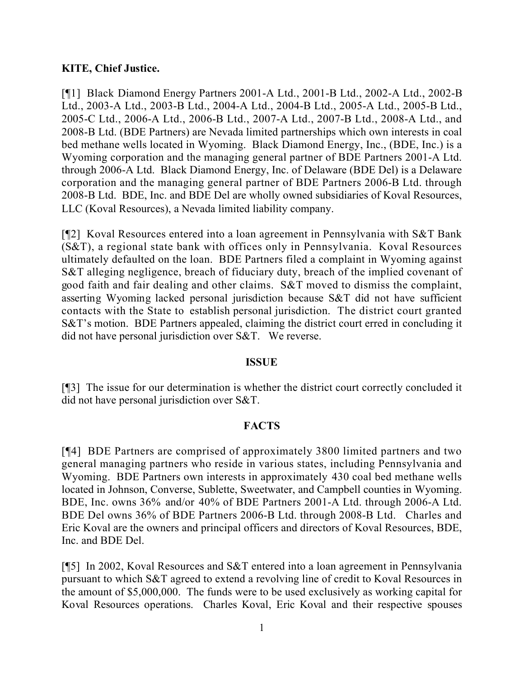#### **KITE, Chief Justice.**

[¶1] Black Diamond Energy Partners 2001-A Ltd., 2001-B Ltd., 2002-A Ltd., 2002-B Ltd., 2003-A Ltd., 2003-B Ltd., 2004-A Ltd., 2004-B Ltd., 2005-A Ltd., 2005-B Ltd., 2005-C Ltd., 2006-A Ltd., 2006-B Ltd., 2007-A Ltd., 2007-B Ltd., 2008-A Ltd., and 2008-B Ltd. (BDE Partners) are Nevada limited partnerships which own interests in coal bed methane wells located in Wyoming. Black Diamond Energy, Inc., (BDE, Inc.) is a Wyoming corporation and the managing general partner of BDE Partners 2001-A Ltd. through 2006-A Ltd. Black Diamond Energy, Inc. of Delaware (BDE Del) is a Delaware corporation and the managing general partner of BDE Partners 2006-B Ltd. through 2008-B Ltd. BDE, Inc. and BDE Del are wholly owned subsidiaries of Koval Resources, LLC (Koval Resources), a Nevada limited liability company.

[¶2] Koval Resources entered into a loan agreement in Pennsylvania with S&T Bank (S&T), a regional state bank with offices only in Pennsylvania. Koval Resources ultimately defaulted on the loan. BDE Partners filed a complaint in Wyoming against S&T alleging negligence, breach of fiduciary duty, breach of the implied covenant of good faith and fair dealing and other claims. S&T moved to dismiss the complaint, asserting Wyoming lacked personal jurisdiction because S&T did not have sufficient contacts with the State to establish personal jurisdiction. The district court granted S&T's motion. BDE Partners appealed, claiming the district court erred in concluding it did not have personal jurisdiction over S&T. We reverse.

#### **ISSUE**

[¶3] The issue for our determination is whether the district court correctly concluded it did not have personal jurisdiction over S&T.

#### **FACTS**

[¶4] BDE Partners are comprised of approximately 3800 limited partners and two general managing partners who reside in various states, including Pennsylvania and Wyoming. BDE Partners own interests in approximately 430 coal bed methane wells located in Johnson, Converse, Sublette, Sweetwater, and Campbell counties in Wyoming. BDE, Inc. owns 36% and/or 40% of BDE Partners 2001-A Ltd. through 2006-A Ltd. BDE Del owns 36% of BDE Partners 2006-B Ltd. through 2008-B Ltd. Charles and Eric Koval are the owners and principal officers and directors of Koval Resources, BDE, Inc. and BDE Del.

[¶5] In 2002, Koval Resources and S&T entered into a loan agreement in Pennsylvania pursuant to which S&T agreed to extend a revolving line of credit to Koval Resources in the amount of \$5,000,000. The funds were to be used exclusively as working capital for Koval Resources operations. Charles Koval, Eric Koval and their respective spouses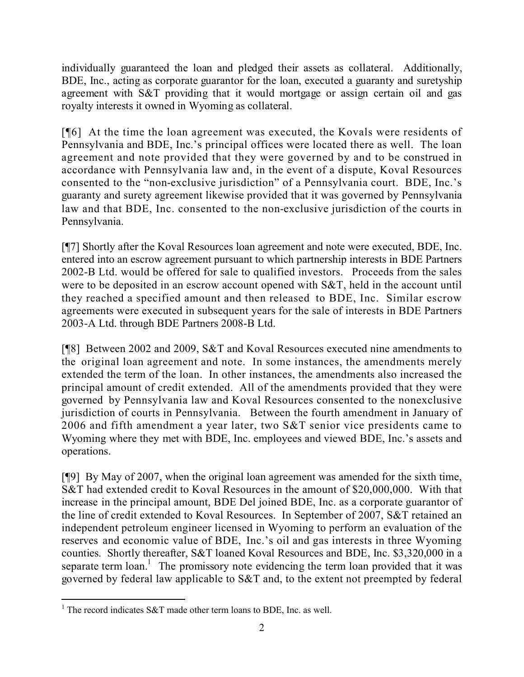individually guaranteed the loan and pledged their assets as collateral. Additionally, BDE, Inc., acting as corporate guarantor for the loan, executed a guaranty and suretyship agreement with S&T providing that it would mortgage or assign certain oil and gas royalty interests it owned in Wyoming as collateral.

[¶6] At the time the loan agreement was executed, the Kovals were residents of Pennsylvania and BDE, Inc.'s principal offices were located there as well. The loan agreement and note provided that they were governed by and to be construed in accordance with Pennsylvania law and, in the event of a dispute, Koval Resources consented to the "non-exclusive jurisdiction" of a Pennsylvania court. BDE, Inc.'s guaranty and surety agreement likewise provided that it was governed by Pennsylvania law and that BDE, Inc. consented to the non-exclusive jurisdiction of the courts in Pennsylvania.

[¶7] Shortly after the Koval Resources loan agreement and note were executed, BDE, Inc. entered into an escrow agreement pursuant to which partnership interests in BDE Partners 2002-B Ltd. would be offered for sale to qualified investors. Proceeds from the sales were to be deposited in an escrow account opened with S&T, held in the account until they reached a specified amount and then released to BDE, Inc. Similar escrow agreements were executed in subsequent years for the sale of interests in BDE Partners 2003-A Ltd. through BDE Partners 2008-B Ltd.

[¶8] Between 2002 and 2009, S&T and Koval Resources executed nine amendments to the original loan agreement and note. In some instances, the amendments merely extended the term of the loan. In other instances, the amendments also increased the principal amount of credit extended. All of the amendments provided that they were governed by Pennsylvania law and Koval Resources consented to the nonexclusive jurisdiction of courts in Pennsylvania. Between the fourth amendment in January of 2006 and fifth amendment a year later, two S&T senior vice presidents came to Wyoming where they met with BDE, Inc. employees and viewed BDE, Inc.'s assets and operations.

[¶9] By May of 2007, when the original loan agreement was amended for the sixth time, S&T had extended credit to Koval Resources in the amount of \$20,000,000. With that increase in the principal amount, BDE Del joined BDE, Inc. as a corporate guarantor of the line of credit extended to Koval Resources. In September of 2007, S&T retained an independent petroleum engineer licensed in Wyoming to perform an evaluation of the reserves and economic value of BDE, Inc.'s oil and gas interests in three Wyoming counties. Shortly thereafter, S&T loaned Koval Resources and BDE, Inc. \$3,320,000 in a separate term  $\alpha$  loan.<sup>1</sup> The promissory note evidencing the term loan provided that it was governed by federal law applicable to S&T and, to the extent not preempted by federal

 <sup>1</sup> The record indicates S&T made other term loans to BDE, Inc. as well.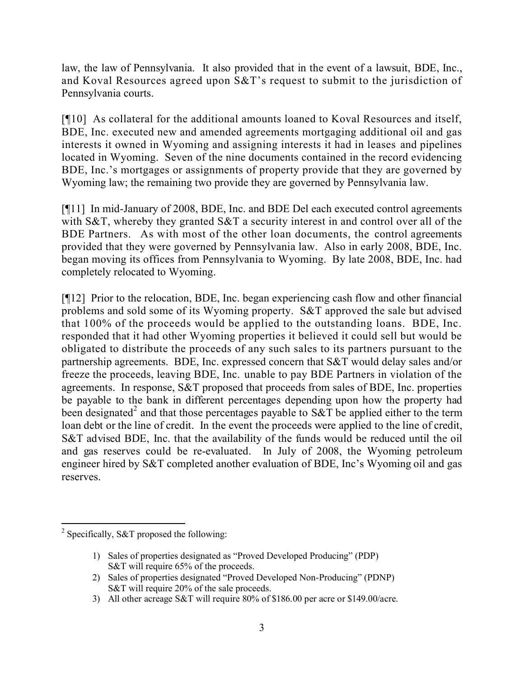law, the law of Pennsylvania. It also provided that in the event of a lawsuit, BDE, Inc., and Koval Resources agreed upon S&T's request to submit to the jurisdiction of Pennsylvania courts.

[¶10] As collateral for the additional amounts loaned to Koval Resources and itself, BDE, Inc. executed new and amended agreements mortgaging additional oil and gas interests it owned in Wyoming and assigning interests it had in leases and pipelines located in Wyoming. Seven of the nine documents contained in the record evidencing BDE, Inc.'s mortgages or assignments of property provide that they are governed by Wyoming law; the remaining two provide they are governed by Pennsylvania law.

[¶11] In mid-January of 2008, BDE, Inc. and BDE Del each executed control agreements with S&T, whereby they granted S&T a security interest in and control over all of the BDE Partners. As with most of the other loan documents, the control agreements provided that they were governed by Pennsylvania law. Also in early 2008, BDE, Inc. began moving its offices from Pennsylvania to Wyoming. By late 2008, BDE, Inc. had completely relocated to Wyoming.

[¶12] Prior to the relocation, BDE, Inc. began experiencing cash flow and other financial problems and sold some of its Wyoming property. S&T approved the sale but advised that 100% of the proceeds would be applied to the outstanding loans. BDE, Inc. responded that it had other Wyoming properties it believed it could sell but would be obligated to distribute the proceeds of any such sales to its partners pursuant to the partnership agreements. BDE, Inc. expressed concern that S&T would delay sales and/or freeze the proceeds, leaving BDE, Inc. unable to pay BDE Partners in violation of the agreements. In response, S&T proposed that proceeds from sales of BDE, Inc. properties be payable to the bank in different percentages depending upon how the property had been designated<sup>2</sup> and that those percentages payable to S&T be applied either to the term loan debt or the line of credit. In the event the proceeds were applied to the line of credit, S&T advised BDE, Inc. that the availability of the funds would be reduced until the oil and gas reserves could be re-evaluated. In July of 2008, the Wyoming petroleum engineer hired by S&T completed another evaluation of BDE, Inc's Wyoming oil and gas reserves.

 $\overline{a}$ <sup>2</sup> Specifically, S&T proposed the following:

<sup>1)</sup> Sales of properties designated as "Proved Developed Producing" (PDP) S&T will require 65% of the proceeds.

<sup>2)</sup> Sales of properties designated "Proved Developed Non-Producing" (PDNP) S&T will require 20% of the sale proceeds.

<sup>3)</sup> All other acreage S&T will require 80% of \$186.00 per acre or \$149.00/acre.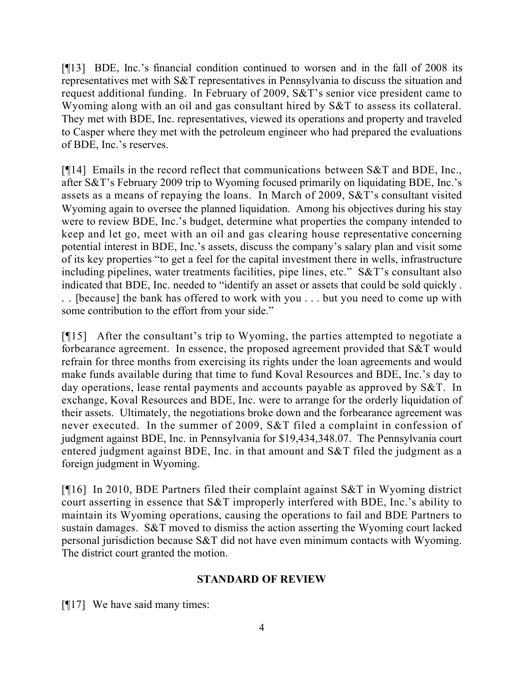[¶13] BDE, Inc.'s financial condition continued to worsen and in the fall of 2008 its representatives met with S&T representatives in Pennsylvania to discuss the situation and request additional funding. In February of 2009, S&T's senior vice president came to Wyoming along with an oil and gas consultant hired by  $S&T$  to assess its collateral. They met with BDE, Inc. representatives, viewed its operations and property and traveled to Casper where they met with the petroleum engineer who had prepared the evaluations of BDE, Inc.'s reserves.

[¶14] Emails in the record reflect that communications between S&T and BDE, Inc., after S&T's February 2009 trip to Wyoming focused primarily on liquidating BDE, Inc.'s assets as a means of repaying the loans. In March of 2009, S&T's consultant visited Wyoming again to oversee the planned liquidation. Among his objectives during his stay were to review BDE, Inc.'s budget, determine what properties the company intended to keep and let go, meet with an oil and gas clearing house representative concerning potential interest in BDE, Inc.'s assets, discuss the company's salary plan and visit some of its key properties "to get a feel for the capital investment there in wells, infrastructure including pipelines, water treatments facilities, pipe lines, etc." S&T's consultant also indicated that BDE, Inc. needed to "identify an asset or assets that could be sold quickly . . . [because] the bank has offered to work with you . . . but you need to come up with some contribution to the effort from your side."

[¶15] After the consultant's trip to Wyoming, the parties attempted to negotiate a forbearance agreement. In essence, the proposed agreement provided that S&T would refrain for three months from exercising its rights under the loan agreements and would make funds available during that time to fund Koval Resources and BDE, Inc.'s day to day operations, lease rental payments and accounts payable as approved by S&T. In exchange, Koval Resources and BDE, Inc. were to arrange for the orderly liquidation of their assets. Ultimately, the negotiations broke down and the forbearance agreement was never executed. In the summer of 2009, S&T filed a complaint in confession of judgment against BDE, Inc. in Pennsylvania for \$19,434,348.07. The Pennsylvania court entered judgment against BDE, Inc. in that amount and S&T filed the judgment as a foreign judgment in Wyoming.

[¶16] In 2010, BDE Partners filed their complaint against S&T in Wyoming district court asserting in essence that S&T improperly interfered with BDE, Inc.'s ability to maintain its Wyoming operations, causing the operations to fail and BDE Partners to sustain damages. S&T moved to dismiss the action asserting the Wyoming court lacked personal jurisdiction because S&T did not have even minimum contacts with Wyoming. The district court granted the motion.

## **STANDARD OF REVIEW**

[¶17] We have said many times: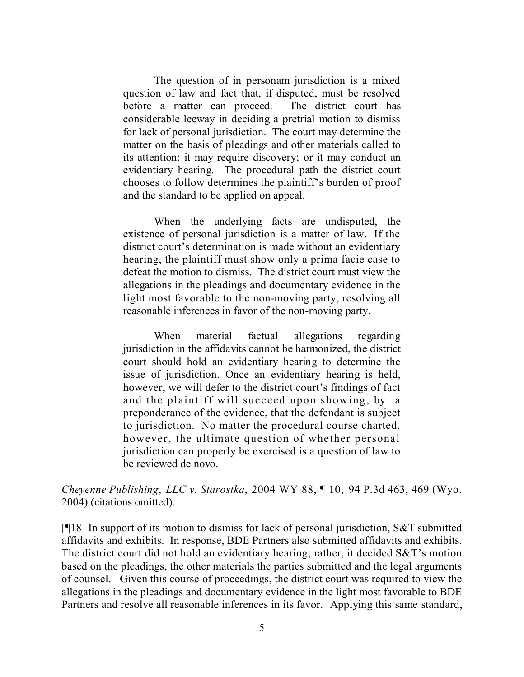The question of in personam jurisdiction is a mixed question of law and fact that, if disputed, must be resolved before a matter can proceed. The district court has considerable leeway in deciding a pretrial motion to dismiss for lack of personal jurisdiction. The court may determine the matter on the basis of pleadings and other materials called to its attention; it may require discovery; or it may conduct an evidentiary hearing. The procedural path the district court chooses to follow determines the plaintiff's burden of proof and the standard to be applied on appeal.

When the underlying facts are undisputed, the existence of personal jurisdiction is a matter of law. If the district court's determination is made without an evidentiary hearing, the plaintiff must show only a prima facie case to defeat the motion to dismiss. The district court must view the allegations in the pleadings and documentary evidence in the light most favorable to the non-moving party, resolving all reasonable inferences in favor of the non-moving party.

When material factual allegations regarding jurisdiction in the affidavits cannot be harmonized, the district court should hold an evidentiary hearing to determine the issue of jurisdiction. Once an evidentiary hearing is held, however, we will defer to the district court's findings of fact and the plaintiff will succeed upon showing, by a preponderance of the evidence, that the defendant is subject to jurisdiction. No matter the procedural course charted, however, the ultimate question of whether personal jurisdiction can properly be exercised is a question of law to be reviewed de novo.

*Cheyenne Publishing*, *LLC v. Starostka*, 2004 WY 88, ¶ 10, 94 P.3d 463, 469 (Wyo. 2004) (citations omitted).

[ $[18]$ ] In support of its motion to dismiss for lack of personal jurisdiction, S&T submitted affidavits and exhibits. In response, BDE Partners also submitted affidavits and exhibits. The district court did not hold an evidentiary hearing; rather, it decided S&T's motion based on the pleadings, the other materials the parties submitted and the legal arguments of counsel. Given this course of proceedings, the district court was required to view the allegations in the pleadings and documentary evidence in the light most favorable to BDE Partners and resolve all reasonable inferences in its favor. Applying this same standard,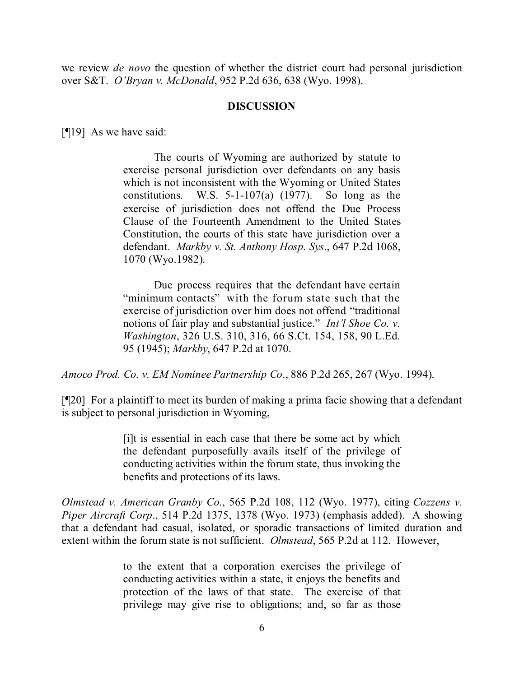we review *de novo* the question of whether the district court had personal jurisdiction over S&T. *O'Bryan v. McDonald*, 952 P.2d 636, 638 (Wyo. 1998).

#### **DISCUSSION**

[¶19] As we have said:

The courts of Wyoming are authorized by statute to exercise personal jurisdiction over defendants on any basis which is not inconsistent with the Wyoming or United States constitutions. W.S. 5-1-107(a) (1977). So long as the exercise of jurisdiction does not offend the Due Process Clause of the Fourteenth Amendment to the United States Constitution, the courts of this state have jurisdiction over a defendant. *Markby v. St. Anthony Hosp. Sys*., 647 P.2d 1068, 1070 (Wyo.1982).

Due process requires that the defendant have certain "minimum contacts" with the forum state such that the exercise of jurisdiction over him does not offend "traditional notions of fair play and substantial justice." *Int'l Shoe Co. v. Washington*, 326 U.S. 310, 316, 66 S.Ct. 154, 158, 90 L.Ed. 95 (1945); *Markby*, 647 P.2d at 1070.

*Amoco Prod. Co. v. EM Nominee Partnership Co*., 886 P.2d 265, 267 (Wyo. 1994).

[¶20] For a plaintiff to meet its burden of making a prima facie showing that a defendant is subject to personal jurisdiction in Wyoming,

> [i]t is essential in each case that there be some act by which the defendant purposefully avails itself of the privilege of conducting activities within the forum state, thus invoking the benefits and protections of its laws.

*Olmstead v. American Granby Co*., 565 P.2d 108, 112 (Wyo. 1977), citing *Cozzens v. Piper Aircraft Corp*., 514 P.2d 1375, 1378 (Wyo. 1973) (emphasis added). A showing that a defendant had casual, isolated, or sporadic transactions of limited duration and extent within the forum state is not sufficient. *Olmstead*, 565 P.2d at 112. However,

> to the extent that a corporation exercises the privilege of conducting activities within a state, it enjoys the benefits and protection of the laws of that state. The exercise of that privilege may give rise to obligations; and, so far as those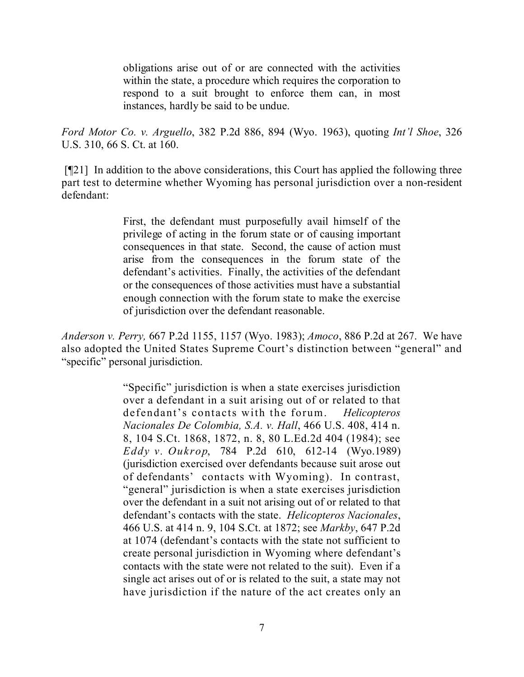obligations arise out of or are connected with the activities within the state, a procedure which requires the corporation to respond to a suit brought to enforce them can, in most instances, hardly be said to be undue.

*Ford Motor Co. v. Arguello*, 382 P.2d 886, 894 (Wyo. 1963), quoting *Int'l Shoe*, 326 U.S. 310, 66 S. Ct. at 160.

[¶21] In addition to the above considerations, this Court has applied the following three part test to determine whether Wyoming has personal jurisdiction over a non-resident defendant:

> First, the defendant must purposefully avail himself of the privilege of acting in the forum state or of causing important consequences in that state. Second, the cause of action must arise from the consequences in the forum state of the defendant's activities. Finally, the activities of the defendant or the consequences of those activities must have a substantial enough connection with the forum state to make the exercise of jurisdiction over the defendant reasonable.

*Anderson v. Perry,* 667 P.2d 1155, 1157 (Wyo. 1983); *Amoco*, 886 P.2d at 267. We have also adopted the United States Supreme Court's distinction between "general" and "specific" personal jurisdiction.

> "Specific" jurisdiction is when a state exercises jurisdiction over a defendant in a suit arising out of or related to that defendant's contacts with the forum. *Helicopteros Nacionales De Colombia, S.A. v. Hall*, 466 U.S. 408, 414 n. 8, 104 S.Ct. 1868, 1872, n. 8, 80 L.Ed.2d 404 (1984); see *Eddy v. Oukrop*, 784 P.2d 610, 612-14 (Wyo.1989) (jurisdiction exercised over defendants because suit arose out of defendants' contacts with Wyoming). In contrast, "general" jurisdiction is when a state exercises jurisdiction over the defendant in a suit not arising out of or related to that defendant's contacts with the state. *Helicopteros Nacionales*, 466 U.S. at 414 n. 9, 104 S.Ct. at 1872; see *Markby*, 647 P.2d at 1074 (defendant's contacts with the state not sufficient to create personal jurisdiction in Wyoming where defendant's contacts with the state were not related to the suit). Even if a single act arises out of or is related to the suit, a state may not have jurisdiction if the nature of the act creates only an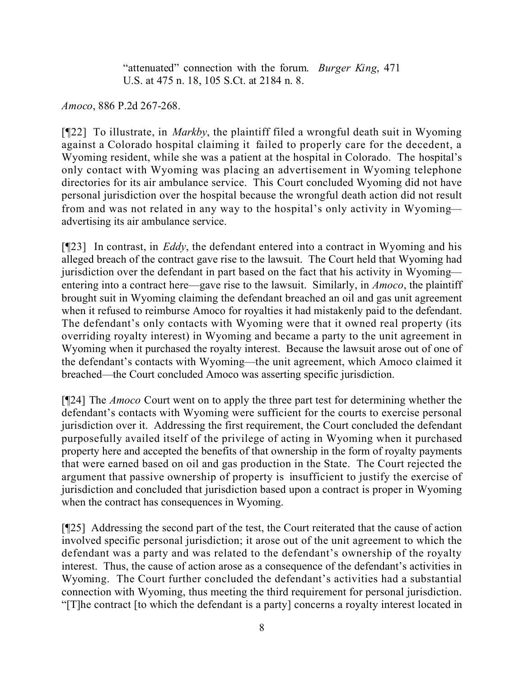"attenuated" connection with the forum. *Burger King*, 471 U.S. at 475 n. 18, 105 S.Ct. at 2184 n. 8.

*Amoco*, 886 P.2d 267-268.

[¶22] To illustrate, in *Markby*, the plaintiff filed a wrongful death suit in Wyoming against a Colorado hospital claiming it failed to properly care for the decedent, a Wyoming resident, while she was a patient at the hospital in Colorado. The hospital's only contact with Wyoming was placing an advertisement in Wyoming telephone directories for its air ambulance service. This Court concluded Wyoming did not have personal jurisdiction over the hospital because the wrongful death action did not result from and was not related in any way to the hospital's only activity in Wyoming advertising its air ambulance service.

[¶23] In contrast, in *Eddy*, the defendant entered into a contract in Wyoming and his alleged breach of the contract gave rise to the lawsuit. The Court held that Wyoming had jurisdiction over the defendant in part based on the fact that his activity in Wyoming entering into a contract here—gave rise to the lawsuit. Similarly, in *Amoco*, the plaintiff brought suit in Wyoming claiming the defendant breached an oil and gas unit agreement when it refused to reimburse Amoco for royalties it had mistakenly paid to the defendant. The defendant's only contacts with Wyoming were that it owned real property (its overriding royalty interest) in Wyoming and became a party to the unit agreement in Wyoming when it purchased the royalty interest. Because the lawsuit arose out of one of the defendant's contacts with Wyoming—the unit agreement, which Amoco claimed it breached—the Court concluded Amoco was asserting specific jurisdiction.

[¶24] The *Amoco* Court went on to apply the three part test for determining whether the defendant's contacts with Wyoming were sufficient for the courts to exercise personal jurisdiction over it. Addressing the first requirement, the Court concluded the defendant purposefully availed itself of the privilege of acting in Wyoming when it purchased property here and accepted the benefits of that ownership in the form of royalty payments that were earned based on oil and gas production in the State. The Court rejected the argument that passive ownership of property is insufficient to justify the exercise of jurisdiction and concluded that jurisdiction based upon a contract is proper in Wyoming when the contract has consequences in Wyoming.

[¶25] Addressing the second part of the test, the Court reiterated that the cause of action involved specific personal jurisdiction; it arose out of the unit agreement to which the defendant was a party and was related to the defendant's ownership of the royalty interest. Thus, the cause of action arose as a consequence of the defendant's activities in Wyoming. The Court further concluded the defendant's activities had a substantial connection with Wyoming, thus meeting the third requirement for personal jurisdiction. "[T]he contract [to which the defendant is a party] concerns a royalty interest located in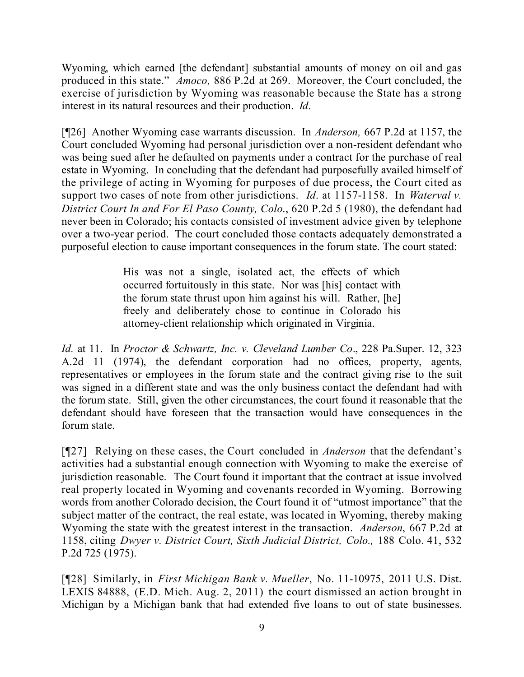Wyoming, which earned [the defendant] substantial amounts of money on oil and gas produced in this state." *Amoco,* 886 P.2d at 269. Moreover, the Court concluded, the exercise of jurisdiction by Wyoming was reasonable because the State has a strong interest in its natural resources and their production. *Id*.

[¶26] Another Wyoming case warrants discussion. In *Anderson,* 667 P.2d at 1157, the Court concluded Wyoming had personal jurisdiction over a non-resident defendant who was being sued after he defaulted on payments under a contract for the purchase of real estate in Wyoming. In concluding that the defendant had purposefully availed himself of the privilege of acting in Wyoming for purposes of due process, the Court cited as support two cases of note from other jurisdictions. *Id*. at 1157-1158. In *Waterval v. District Court In and For El Paso County, Colo*., 620 P.2d 5 (1980), the defendant had never been in Colorado; his contacts consisted of investment advice given by telephone over a two-year period. The court concluded those contacts adequately demonstrated a purposeful election to cause important consequences in the forum state. The court stated:

> His was not a single, isolated act, the effects of which occurred fortuitously in this state. Nor was [his] contact with the forum state thrust upon him against his will. Rather, [he] freely and deliberately chose to continue in Colorado his attorney-client relationship which originated in Virginia.

*Id.* at 11. In *Proctor & Schwartz, Inc. v. Cleveland Lumber Co*., 228 Pa.Super. 12, 323 A.2d 11 (1974), the defendant corporation had no offices, property, agents, representatives or employees in the forum state and the contract giving rise to the suit was signed in a different state and was the only business contact the defendant had with the forum state. Still, given the other circumstances, the court found it reasonable that the defendant should have foreseen that the transaction would have consequences in the forum state.

[¶27] Relying on these cases, the Court concluded in *Anderson* that the defendant's activities had a substantial enough connection with Wyoming to make the exercise of jurisdiction reasonable. The Court found it important that the contract at issue involved real property located in Wyoming and covenants recorded in Wyoming. Borrowing words from another Colorado decision, the Court found it of "utmost importance" that the subject matter of the contract, the real estate, was located in Wyoming, thereby making Wyoming the state with the greatest interest in the transaction. *Anderson*, 667 P.2d at 1158, citing *Dwyer v. District Court, Sixth Judicial District, Colo.,* 188 Colo. 41, 532 P.2d 725 (1975).

[¶28] Similarly, in *First Michigan Bank v. Mueller*, No. 11-10975, 2011 U.S. Dist. LEXIS 84888, (E.D. Mich. Aug. 2, 2011) the court dismissed an action brought in Michigan by a Michigan bank that had extended five loans to out of state businesses.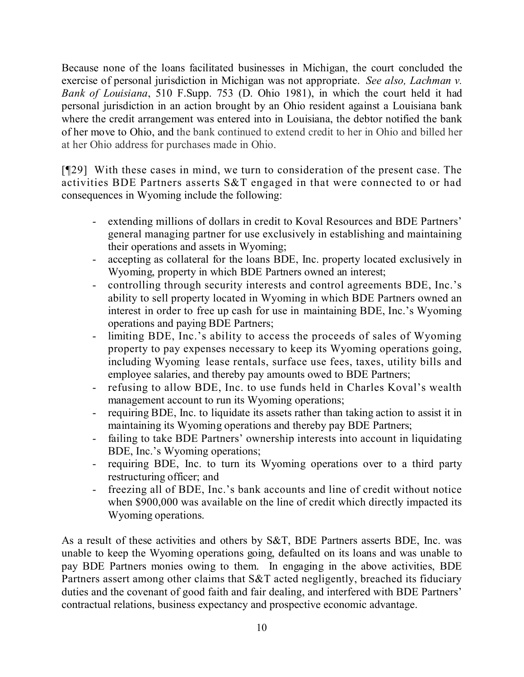Because none of the loans facilitated businesses in Michigan, the court concluded the exercise of personal jurisdiction in Michigan was not appropriate. *See also, Lachman v. Bank of Louisiana*, 510 F.Supp. 753 (D. Ohio 1981), in which the court held it had personal jurisdiction in an action brought by an Ohio resident against a Louisiana bank where the credit arrangement was entered into in Louisiana, the debtor notified the bank of her move to Ohio, and the bank continued to extend credit to her in Ohio and billed her at her Ohio address for purchases made in Ohio.

[¶29] With these cases in mind, we turn to consideration of the present case. The activities BDE Partners asserts S&T engaged in that were connected to or had consequences in Wyoming include the following:

- extending millions of dollars in credit to Koval Resources and BDE Partners' general managing partner for use exclusively in establishing and maintaining their operations and assets in Wyoming;
- accepting as collateral for the loans BDE, Inc. property located exclusively in Wyoming, property in which BDE Partners owned an interest;
- controlling through security interests and control agreements BDE, Inc.'s ability to sell property located in Wyoming in which BDE Partners owned an interest in order to free up cash for use in maintaining BDE, Inc.'s Wyoming operations and paying BDE Partners;
- limiting BDE, Inc.'s ability to access the proceeds of sales of Wyoming property to pay expenses necessary to keep its Wyoming operations going, including Wyoming lease rentals, surface use fees, taxes, utility bills and employee salaries, and thereby pay amounts owed to BDE Partners;
- refusing to allow BDE, Inc. to use funds held in Charles Koval's wealth management account to run its Wyoming operations;
- requiring BDE, Inc. to liquidate its assets rather than taking action to assist it in maintaining its Wyoming operations and thereby pay BDE Partners;
- failing to take BDE Partners' ownership interests into account in liquidating BDE, Inc.'s Wyoming operations;
- requiring BDE, Inc. to turn its Wyoming operations over to a third party restructuring officer; and
- freezing all of BDE, Inc.'s bank accounts and line of credit without notice when \$900,000 was available on the line of credit which directly impacted its Wyoming operations.

As a result of these activities and others by S&T, BDE Partners asserts BDE, Inc. was unable to keep the Wyoming operations going, defaulted on its loans and was unable to pay BDE Partners monies owing to them. In engaging in the above activities, BDE Partners assert among other claims that S&T acted negligently, breached its fiduciary duties and the covenant of good faith and fair dealing, and interfered with BDE Partners' contractual relations, business expectancy and prospective economic advantage.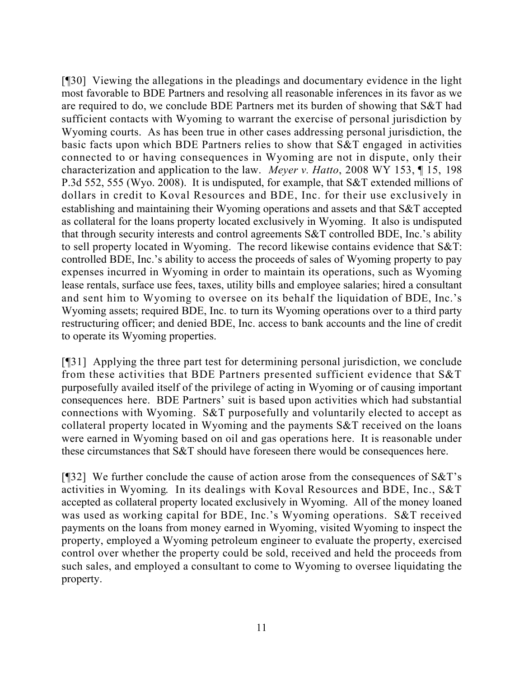[¶30] Viewing the allegations in the pleadings and documentary evidence in the light most favorable to BDE Partners and resolving all reasonable inferences in its favor as we are required to do, we conclude BDE Partners met its burden of showing that S&T had sufficient contacts with Wyoming to warrant the exercise of personal jurisdiction by Wyoming courts. As has been true in other cases addressing personal jurisdiction, the basic facts upon which BDE Partners relies to show that S&T engaged in activities connected to or having consequences in Wyoming are not in dispute, only their characterization and application to the law. *Meyer v. Hatto*, 2008 WY 153, ¶ 15, 198 P.3d 552, 555 (Wyo. 2008). It is undisputed, for example, that S&T extended millions of dollars in credit to Koval Resources and BDE, Inc. for their use exclusively in establishing and maintaining their Wyoming operations and assets and that S&T accepted as collateral for the loans property located exclusively in Wyoming. It also is undisputed that through security interests and control agreements S&T controlled BDE, Inc.'s ability to sell property located in Wyoming. The record likewise contains evidence that S&T: controlled BDE, Inc.'s ability to access the proceeds of sales of Wyoming property to pay expenses incurred in Wyoming in order to maintain its operations, such as Wyoming lease rentals, surface use fees, taxes, utility bills and employee salaries; hired a consultant and sent him to Wyoming to oversee on its behalf the liquidation of BDE, Inc.'s Wyoming assets; required BDE, Inc. to turn its Wyoming operations over to a third party restructuring officer; and denied BDE, Inc. access to bank accounts and the line of credit to operate its Wyoming properties.

[¶31] Applying the three part test for determining personal jurisdiction, we conclude from these activities that BDE Partners presented sufficient evidence that S&T purposefully availed itself of the privilege of acting in Wyoming or of causing important consequences here. BDE Partners' suit is based upon activities which had substantial connections with Wyoming. S&T purposefully and voluntarily elected to accept as collateral property located in Wyoming and the payments S&T received on the loans were earned in Wyoming based on oil and gas operations here. It is reasonable under these circumstances that S&T should have foreseen there would be consequences here.

[ $[$ ][32] We further conclude the cause of action arose from the consequences of  $S&T$ 's activities in Wyoming. In its dealings with Koval Resources and BDE, Inc., S&T accepted as collateral property located exclusively in Wyoming. All of the money loaned was used as working capital for BDE, Inc.'s Wyoming operations. S&T received payments on the loans from money earned in Wyoming, visited Wyoming to inspect the property, employed a Wyoming petroleum engineer to evaluate the property, exercised control over whether the property could be sold, received and held the proceeds from such sales, and employed a consultant to come to Wyoming to oversee liquidating the property.